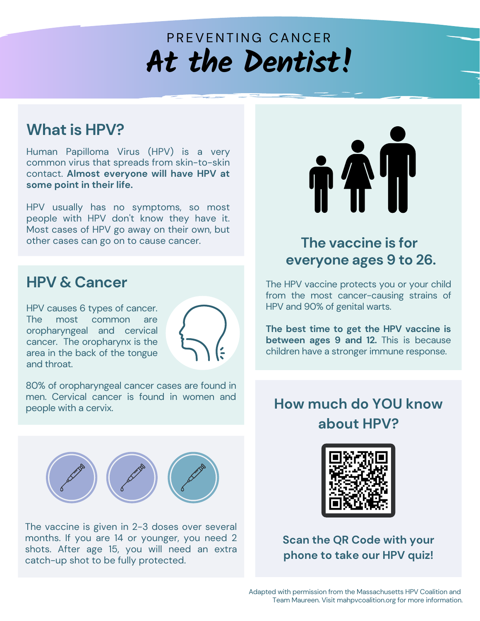# PREVENTING CANCER **At the Dentist!**

### **What is HPV?**

Human Papilloma Virus (HPV) is a very common virus that spreads from skin-to-skin contact. **Almost everyone will have HPV at some point in their life.**

HPV usually has no symptoms, so most people with HPV don't know they have it. Most cases of HPV go away on their own, but other cases can go on to cause cancer.

### **HPV & Cancer**

HPV causes 6 types of cancer. The most common are oropharyngeal and cervical cancer. The oropharynx is the area in the back of the tongue and throat.



80% of oropharyngeal cancer cases are found in men. Cervical cancer is found in women and people with a cervix.



The vaccine is given in 2-3 doses over several months. If you are 14 or younger, you need 2 shots. After age 15, you will need an extra catch-up shot to be fully protected.



## **The vaccine is for everyone ages 9 to 26.**

The HPV vaccine protects you or your child from the most cancer-causing strains of HPV and 90% of genital warts.

**The best time to get the HPV vaccine is between ages 9 and 12.** This is because children have a stronger immune response.

## **How much do YOU know about HPV?**



**Scan the QR Code with your phone to take our HPV quiz!**

Adapted with permission from the Massachusetts HPV Coalition and Team Maureen. Visit mahpvcoalition.org for more information.